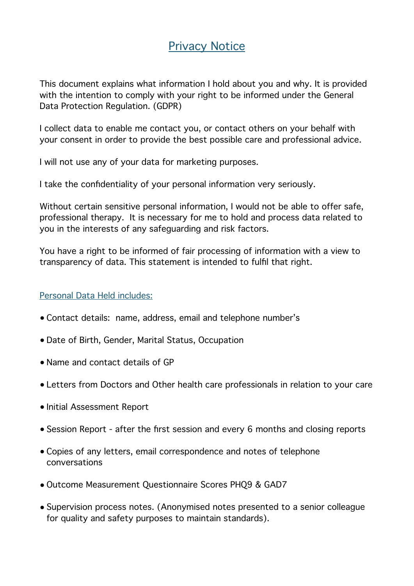# Privacy Notice

This document explains what information I hold about you and why. It is provided with the intention to comply with your right to be informed under the General Data Protection Regulation. (GDPR)

I collect data to enable me contact you, or contact others on your behalf with your consent in order to provide the best possible care and professional advice.

I will not use any of your data for marketing purposes.

I take the confidentiality of your personal information very seriously.

Without certain sensitive personal information, I would not be able to offer safe, professional therapy. It is necessary for me to hold and process data related to you in the interests of any safeguarding and risk factors.

You have a right to be informed of fair processing of information with a view to transparency of data. This statement is intended to fulfil that right.

## Personal Data Held includes:

- Contact details: name, address, email and telephone number's
- Date of Birth, Gender, Marital Status, Occupation
- Name and contact details of GP
- Letters from Doctors and Other health care professionals in relation to your care
- Initial Assessment Report
- Session Report after the first session and every 6 months and closing reports
- Copies of any letters, email correspondence and notes of telephone conversations
- Outcome Measurement Questionnaire Scores PHQ9 & GAD7
- Supervision process notes. (Anonymised notes presented to a senior colleague for quality and safety purposes to maintain standards).